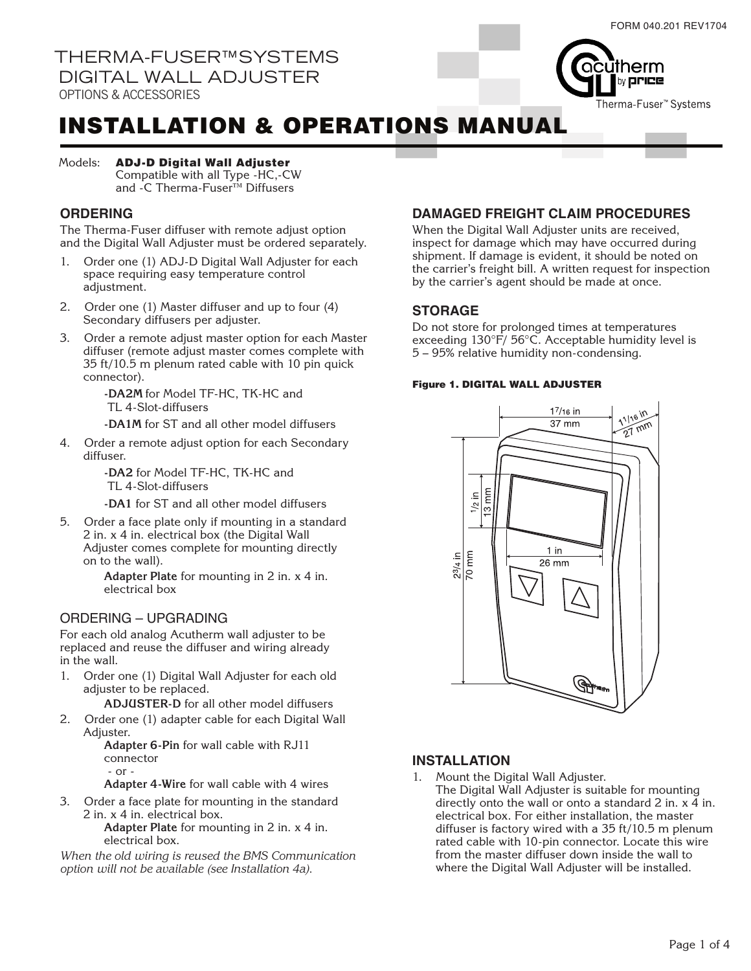

# INSTALLATION & OPERATIONS MANUAL

#### ADJ-D Digital Wall Adjuster Models:

Compatible with all Type -HC,-CW and -C Therma-Fuser™ Diffusers

## **ORDERING**

The Therma-Fuser diffuser with remote adjust option and the Digital Wall Adjuster must be ordered separately.

- Order one (1) ADJ-D Digital Wall Adjuster for each space requiring easy temperature control adjustment.
- 2. Order one (1) Master diffuser and up to four (4) Secondary diffusers per adjuster.
- 3. Order a remote adjust master option for each Master diffuser (remote adjust master comes complete with 35 ft/10.5 m plenum rated cable with 10 pin quick connector).

**-DA2M** for Model TF-HC, TK-HC and TL 4-Slot-diffusers

**-DA1M** for ST and all other model diffusers

4. Order a remote adjust option for each Secondary diffuser.

> **-DA2** for Model TF-HC, TK-HC and TL 4-Slot-diffusers

**-DA1** for ST and all other model diffusers

5. Order a face plate only if mounting in a standard 2 in. x 4 in. electrical box (the Digital Wall Adjuster comes complete for mounting directly on to the wall).

> **Adapter Plate** for mounting in 2 in. x 4 in. electrical box

## ORDERING – UPGRADING

For each old analog Acutherm wall adjuster to be replaced and reuse the diffuser and wiring already in the wall.

1. Order one (1) Digital Wall Adjuster for each old adjuster to be replaced.

**ADJUSTER-D** for all other model diffusers

2. Order one (1) adapter cable for each Digital Wall Adjuster.

**Adapter 6-Pin** for wall cable with RJ11 connector - or -

**Adapter 4-Wire** for wall cable with 4 wires

3. Order a face plate for mounting in the standard 2 in. x 4 in. electrical box.

**Adapter Plate** for mounting in 2 in. x 4 in. electrical box.

*When the old wiring is reused the BMS Communication option will not be available (see Installation 4a).*

## **DAMAGED FREIGHT CLAIM PROCEDURES**

When the Digital Wall Adjuster units are received, inspect for damage which may have occurred during shipment. If damage is evident, it should be noted on the carrier's freight bill. A written request for inspection by the carrier's agent should be made at once.

## **STORAGE**

Do not store for prolonged times at temperatures exceeding 130°F/ 56°C. Acceptable humidity level is 5 – 95% relative humidity non-condensing.

#### Figure 1. DIGITAL WALL ADJUSTER



## **INSTALLATION**

- 1. Mount the Digital Wall Adjuster.
- The Digital Wall Adjuster is suitable for mounting directly onto the wall or onto a standard 2 in.  $x$  4 in. electrical box. For either installation, the master diffuser is factory wired with a 35 ft/10.5 m plenum rated cable with 10-pin connector. Locate this wire from the master diffuser down inside the wall to where the Digital Wall Adjuster will be installed.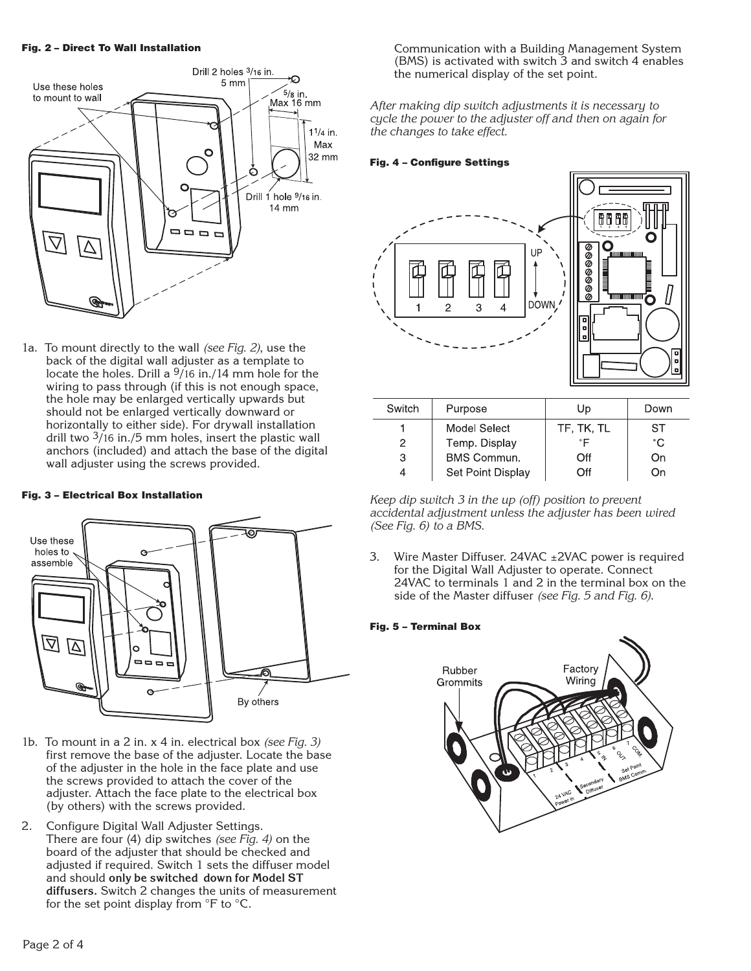#### Fig. 2 – Direct To Wall Installation



1a. To mount directly to the wall *(see Fig. 2)*, use the back of the digital wall adjuster as a template to locate the holes. Drill a 9/16 in./14 mm hole for the wiring to pass through (if this is not enough space, the hole may be enlarged vertically upwards but should not be enlarged vertically downward or horizontally to either side). For drywall installation drill two 3/16 in./5 mm holes, insert the plastic wall anchors (included) and attach the base of the digital wall adjuster using the screws provided.

#### Fig. 3 – Electrical Box Installation



- 1b. To mount in a 2 in. x 4 in. electrical box *(see Fig. 3)* first remove the base of the adjuster. Locate the base of the adjuster in the hole in the face plate and use the screws provided to attach the cover of the adjuster. Attach the face plate to the electrical box (by others) with the screws provided.
- 2. Configure Digital Wall Adjuster Settings. There are four (4) dip switches *(see Fig. 4)* on the board of the adjuster that should be checked and adjusted if required. Switch 1 sets the diffuser model and should **only be switched down for Model ST diffusers.** Switch 2 changes the units of measurement for the set point display from °F to °C.

Communication with a Building Management System (BMS) is activated with switch 3 and switch 4 enables the numerical display of the set point.

*After making dip switch adjustments it is necessary to cycle the power to the adjuster off and then on again for the changes to take effect.*

#### Fig. 4 – Configure Settings



| Switch | Purpose            | Up         | Down |
|--------|--------------------|------------|------|
|        | Model Select       | TF, TK, TL | ST   |
| 2      | Temp. Display      | °F         | °€   |
| 3      | <b>BMS Commun.</b> | Off        | On   |
|        | Set Point Display  | Off        | ωu   |
|        |                    |            |      |

*Keep dip switch 3 in the up (off) position to prevent accidental adjustment unless the adjuster has been wired (See Fig. 6) to a BMS.*

3. Wire Master Diffuser. 24VAC ±2VAC power is required for the Digital Wall Adjuster to operate. Connect 24VAC to terminals 1 and 2 in the terminal box on the side of the Master diffuser *(see Fig. 5 and Fig. 6)*.

### Fig. 5 – Terminal Box

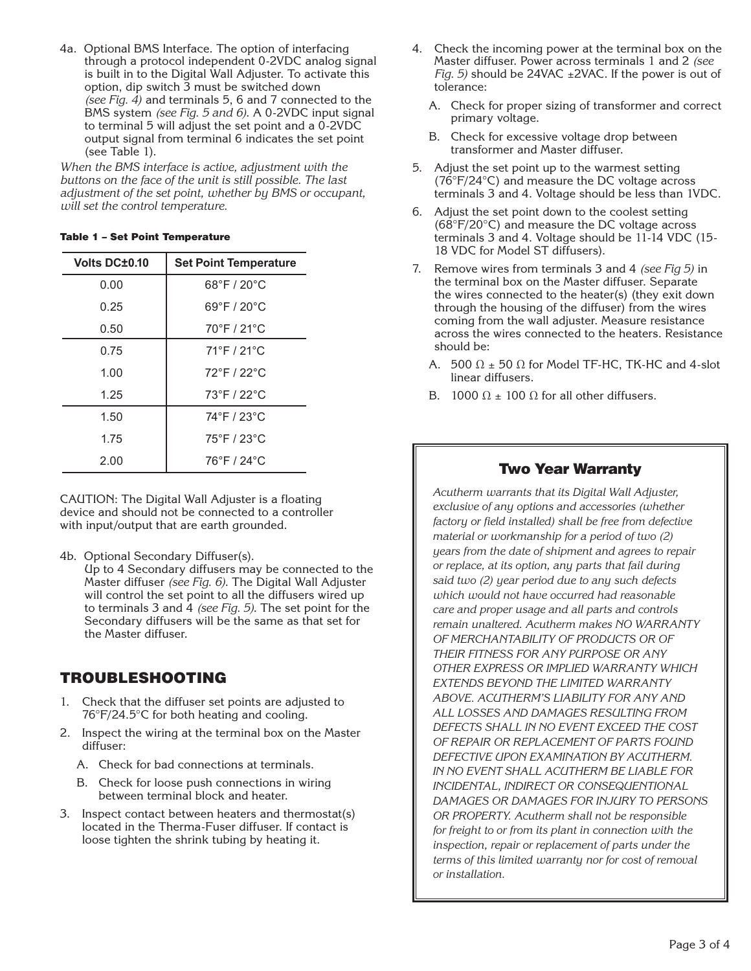4a. Optional BMS Interface. The option of interfacing through a protocol independent 0-2VDC analog signal is built in to the Digital Wall Adjuster. To activate this option, dip switch 3 must be switched down *(see Fig. 4)* and terminals 5, 6 and 7 connected to the BMS system *(see Fig. 5 and 6)*. A 0-2VDC input signal to terminal 5 will adjust the set point and a 0-2VDC output signal from terminal 6 indicates the set point (see Table 1).

*When the BMS interface is active, adjustment with the buttons on the face of the unit is still possible. The last adjustment of the set point, whether by BMS or occupant, will set the control temperature.*

#### Table 1 – Set Point Temperature

| <b>Volts DC±0.10</b> | <b>Set Point Temperature</b>     |  |
|----------------------|----------------------------------|--|
| 0.00                 | $68^{\circ}$ F / 20 $^{\circ}$ C |  |
| 0.25                 | $69^{\circ}$ F / 20 $^{\circ}$ C |  |
| 0.50                 | $70^{\circ}$ F / 21 $^{\circ}$ C |  |
| 0.75                 | 71°F / 21°C                      |  |
| 1.00                 | 72°F / 22°C                      |  |
| 1.25                 | 73°F / 22°C                      |  |
| 1.50                 | 74°F / 23°C                      |  |
| 1.75                 | $75^{\circ}$ F / 23 $^{\circ}$ C |  |
| 2.00                 | 76°F / 24°C                      |  |

CAUTION: The Digital Wall Adjuster is a floating device and should not be connected to a controller with input/output that are earth grounded.

- 4b. Optional Secondary Diffuser(s).
- Up to 4 Secondary diffusers may be connected to the Master diffuser *(see Fig. 6)*. The Digital Wall Adjuster will control the set point to all the diffusers wired up to terminals 3 and 4 *(see Fig. 5)*. The set point for the Secondary diffusers will be the same as that set for the Master diffuser.

## TROUBLESHOOTING

- 1. Check that the diffuser set points are adjusted to 76°F/24.5°C for both heating and cooling.
- 2. Inspect the wiring at the terminal box on the Master diffuser:
	- A. Check for bad connections at terminals.
	- B. Check for loose push connections in wiring between terminal block and heater.
- 3. Inspect contact between heaters and thermostat(s) located in the Therma-Fuser diffuser. If contact is loose tighten the shrink tubing by heating it.
- 4. Check the incoming power at the terminal box on the Master diffuser. Power across terminals 1 and 2 *(see Fig. 5)* should be 24VAC ±2VAC. If the power is out of tolerance:
	- A. Check for proper sizing of transformer and correct primary voltage.
	- B. Check for excessive voltage drop between transformer and Master diffuser.
- 5. Adjust the set point up to the warmest setting  $(76^{\circ}F/24^{\circ}C)$  and measure the DC voltage across terminals 3 and 4. Voltage should be less than 1VDC.
- 6. Adjust the set point down to the coolest setting (68°F/20°C) and measure the DC voltage across terminals 3 and 4. Voltage should be 11-14 VDC (15- 18 VDC for Model ST diffusers).
- 7. Remove wires from terminals 3 and 4 *(see Fig 5)* in the terminal box on the Master diffuser. Separate the wires connected to the heater(s) (they exit down through the housing of the diffuser) from the wires coming from the wall adjuster. Measure resistance across the wires connected to the heaters. Resistance should be:
	- A. 500  $\Omega$  ± 50  $\Omega$  for Model TF-HC, TK-HC and 4-slot linear diffusers.
	- B. 1000  $\Omega$  ± 100  $\Omega$  for all other diffusers.

## Two Year Warranty

*Acutherm warrants that its Digital Wall Adjuster, exclusive of any options and accessories (whether factory or field installed) shall be free from defective material or workmanship for a period of two (2) years from the date of shipment and agrees to repair or replace, at its option, any parts that fail during said two (2) year period due to any such defects which would not have occurred had reasonable care and proper usage and all parts and controls remain unaltered. Acutherm makes NO WARRANTY OF MERCHANTABILITY OF PRODUCTS OR OF THEIR FITNESS FOR ANY PURPOSE OR ANY OTHER EXPRESS OR IMPLIED WARRANTY WHICH EXTENDS BEYOND THE LIMITED WARRANTY ABOVE. ACUTHERM'S LIABILITY FOR ANY AND ALL LOSSES AND DAMAGES RESULTING FROM DEFECTS SHALL IN NO EVENT EXCEED THE COST OF REPAIR OR REPLACEMENT OF PARTS FOUND DEFECTIVE UPON EXAMINATION BY ACUTHERM. IN NO EVENT SHALL ACUTHERM BE LIABLE FOR INCIDENTAL, INDIRECT OR CONSEQUENTIONAL DAMAGES OR DAMAGES FOR INJURY TO PERSONS OR PROPERTY. Acutherm shall not be responsible for freight to or from its plant in connection with the inspection, repair or replacement of parts under the terms of this limited warranty nor for cost of removal or installation.*